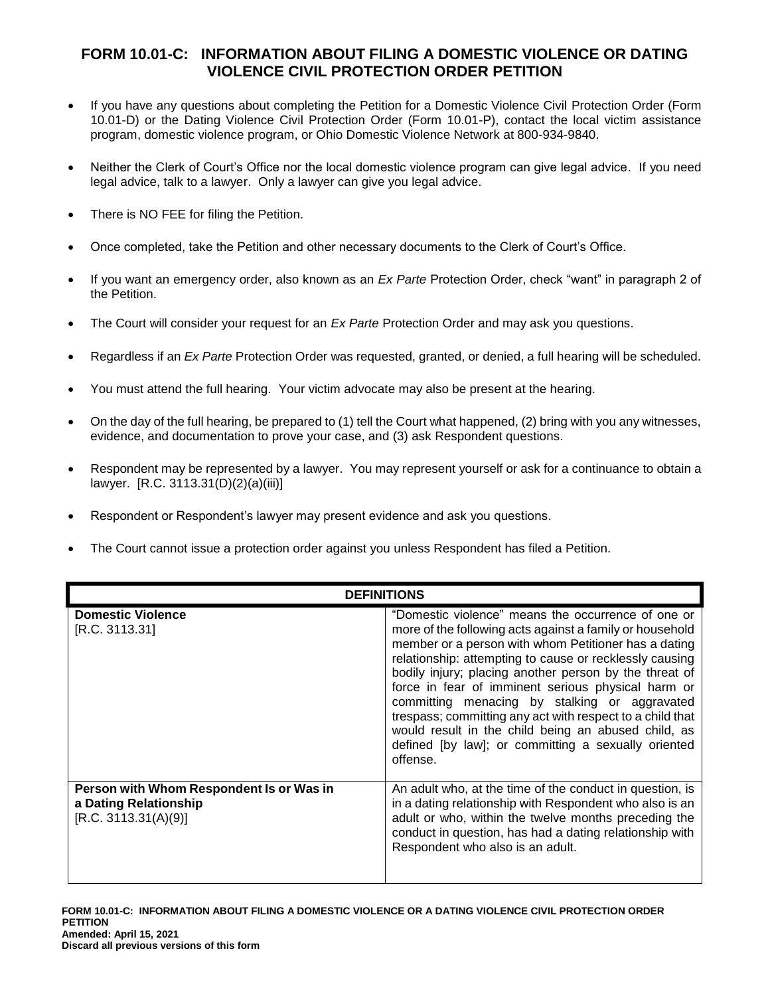## **FORM 10.01-C: INFORMATION ABOUT FILING A DOMESTIC VIOLENCE OR DATING VIOLENCE CIVIL PROTECTION ORDER PETITION**

- If you have any questions about completing the Petition for a Domestic Violence Civil Protection Order (Form 10.01-D) or the Dating Violence Civil Protection Order (Form 10.01-P), contact the local victim assistance program, domestic violence program, or Ohio Domestic Violence Network at 800-934-9840.
- Neither the Clerk of Court's Office nor the local domestic violence program can give legal advice. If you need legal advice, talk to a lawyer. Only a lawyer can give you legal advice.
- There is NO FEE for filing the Petition.
- Once completed, take the Petition and other necessary documents to the Clerk of Court's Office.
- If you want an emergency order, also known as an *Ex Parte* Protection Order, check "want" in paragraph 2 of the Petition.
- The Court will consider your request for an *Ex Parte* Protection Order and may ask you questions.
- Regardless if an *Ex Parte* Protection Order was requested, granted, or denied, a full hearing will be scheduled.
- You must attend the full hearing. Your victim advocate may also be present at the hearing.
- On the day of the full hearing, be prepared to (1) tell the Court what happened, (2) bring with you any witnesses, evidence, and documentation to prove your case, and (3) ask Respondent questions.
- Respondent may be represented by a lawyer. You may represent yourself or ask for a continuance to obtain a lawyer. [R.C. 3113.31(D)(2)(a)(iii)]
- Respondent or Respondent's lawyer may present evidence and ask you questions.
- The Court cannot issue a protection order against you unless Respondent has filed a Petition.

| <b>DEFINITIONS</b>                                                                        |                                                                                                                                                                                                                                                                                                                                                                                                                                                                                                                                                                                           |
|-------------------------------------------------------------------------------------------|-------------------------------------------------------------------------------------------------------------------------------------------------------------------------------------------------------------------------------------------------------------------------------------------------------------------------------------------------------------------------------------------------------------------------------------------------------------------------------------------------------------------------------------------------------------------------------------------|
| <b>Domestic Violence</b><br>[R.C. 3113.31]                                                | "Domestic violence" means the occurrence of one or<br>more of the following acts against a family or household<br>member or a person with whom Petitioner has a dating<br>relationship: attempting to cause or recklessly causing<br>bodily injury; placing another person by the threat of<br>force in fear of imminent serious physical harm or<br>committing menacing by stalking or aggravated<br>trespass; committing any act with respect to a child that<br>would result in the child being an abused child, as<br>defined [by law]; or committing a sexually oriented<br>offense. |
| Person with Whom Respondent Is or Was in<br>a Dating Relationship<br>[R.C. 3113.31(A)(9)] | An adult who, at the time of the conduct in question, is<br>in a dating relationship with Respondent who also is an<br>adult or who, within the twelve months preceding the<br>conduct in question, has had a dating relationship with<br>Respondent who also is an adult.                                                                                                                                                                                                                                                                                                                |